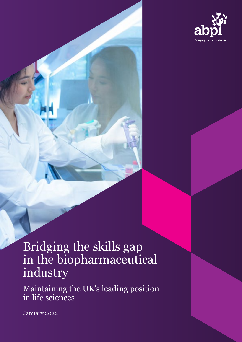

# Bridging the skills gap in the biopharmaceutical industry

Maintaining the UK's leading position in life sciences

January 2022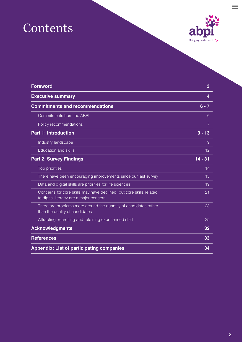# Contents



 $\equiv$ 

| <b>Foreword</b>                                                                                                | 3              |
|----------------------------------------------------------------------------------------------------------------|----------------|
| <b>Executive summary</b>                                                                                       | 4              |
| <b>Commitments and recommendations</b>                                                                         | $6 - 7$        |
| Commitments from the ABPI                                                                                      | 6              |
| Policy recommendations                                                                                         | $\overline{7}$ |
| <b>Part 1: Introduction</b>                                                                                    | $9 - 13$       |
| Industry landscape                                                                                             | 9              |
| <b>Education and skills</b>                                                                                    | 12             |
| <b>Part 2: Survey Findings</b>                                                                                 | $14 - 31$      |
| Top priorities                                                                                                 | 14             |
| There have been encouraging improvements since our last survey                                                 | 15             |
| Data and digital skills are priorities for life sciences                                                       | 19             |
| Concerns for core skills may have declined, but core skills related<br>to digital literacy are a major concern | 21             |
| There are problems more around the quantity of candidates rather<br>than the quality of candidates             | 23             |
| Attracting, recruiting and retaining experienced staff                                                         | 25             |
| <b>Acknowledgments</b>                                                                                         | 32             |
| <b>References</b>                                                                                              | 33             |
| <b>Appendix: List of participating companies</b>                                                               | 34             |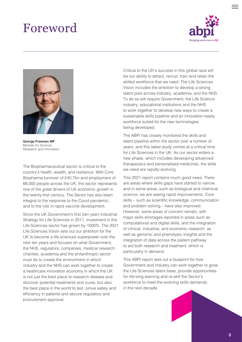## <span id="page-2-0"></span>Foreword





**George Freeman MP**  Minister for Science, Research and Innovation

The Biopharmaceutical sector is critical to the country's health, wealth, and resilience. With Core Biopharma turnover of £40.7bn and employment of 66,000 people across the UK, the sector represents one of the great drivers of UK economic growth in the twenty-first century. The Sector has also been integral to the response to the Covid pandemic, and to the role in rapid vaccine development.

Since the UK Government's first (ten year) Industrial Strategy for Life Sciences in 2011, investment in the Life Sciences sector has grown by 1000%. The 2021 Life Sciences Vision sets out our ambition for the UK to become a life sciences superpower over the next ten years and focuses on what Government, the NHS, regulators, companies, medical research charities, academia and the philanthropic sector must do to create the environment in which industry and the NHS can work together to create a healthcare innovation economy in which the UK is not just the best place to research disease and discover potential treatments and cures, but also the best place in the world to test, prove safety and efficiency in patients and secure regulatory and procurement approval.

Critical to the UK's success in this global race will be our ability to attract, recruit, train and retain the skilled workforce that we need. The Life Sciences Vision includes the ambition to develop a strong talent pool across industry, academia, and the NHS. To do so will require Government, the Life Science industry, educational institutions and the NHS to work together to develop new ways to create a sustainable skills pipeline and an innovation-ready workforce suited for the new technologies being developed.

The ABPI has closely monitored the skills and talent pipeline within the sector over a number of years, and this latest study comes at a critical time for Life Sciences in the UK. As our sector enters a new phase, which includes developing advanced therapeutics and personalised medicines, the skills we need are rapidly evolving.

This 2021 report contains much good news. There are areas where skills gaps have started to narrow and in some areas, such as biological and chemical science, we are seeing rapid improvements. Core skills – such as scientific knowledge, communication and problem solving – have also improved. However, some areas of concern remain, with major skills shortages reported in areas such as computational and digital skills, and the integration of clinical, industrial, and economic research, as well as genomic and phenotypic insights and the integration of data across the patient pathway to aid both research and treatment, which is particularly in demand.

This ABPI report sets out a blueprint for how Government and industry can work together to grow the Life Sciences talent base, provide opportunities for life-long learning and re-skill the Sector's workforce to meet the evolving skills demands in the next decade.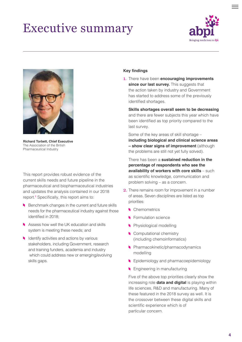# <span id="page-3-0"></span>Executive summary





**Richard Torbett, Chief Executive** The Association of the British Pharmaceutical Industry

This report provides robust evidence of the current skills needs and future pipeline in the pharmaceutical and biopharmaceutical industries and updates the analysis contained in our 2018 report.**<sup>1</sup>** Specifically, this report aims to:

- Benchmark changes in the current and future skills needs for the pharmaceutical industry against those identified in 2018;
- Assess how well the UK education and skills system is meeting these needs; and
- I Identify activities and actions by various stakeholders, including Government, research and training funders, academia and industry which could address new or emerging/evolving skills gaps.

#### **Key findings**

1. There have been **encouraging improvements**  since our last survey. This suggests that the action taken by industry and Government has started to address some of the previously identified shortages.

**Skills shortages overall seem to be decreasing** and there are fewer subjects this year which have been identified as top priority compared to the last survey.

Some of the key areas of skill shortage – **including biological and clinical science areas – show clear signs of improvement** (although the problems are still not yet fully solved).

 There has been a **sustained reduction in the percentage of respondents who see the availability of workers with core skills** – such as scientific knowledge, communication and problem solving – as a concern.

- 2. There remains room for improvement in a number of areas. Seven disciplines are listed as top priorities:
	- Chemometrics
	- Formulation science
	- **Physiological modelling**
	- Computational chemistry (including chemoinformatics)
	- **Pharmacokinetic/pharmacodynamics** modelling
	- Epidemiology and pharmacoepidemiology
	- **Engineering in manufacturing**

 Five of the above top priorities clearly show the increasing role **data and digital** is playing within life sciences, R&D and manufacturing. Many of these featured in the 2018 survey as well. It is the crossover between these digital skills and scientific experience which is of particular concern.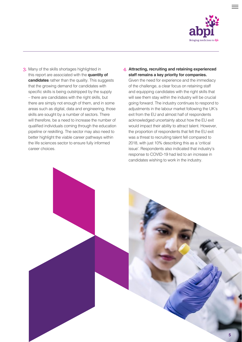

3. Many of the skills shortages highlighted in this report are associated with the **quantity of candidates** rather than the quality. This suggests that the growing demand for candidates with specific skills is being outstripped by the supply – there are candidates with the right skills, but there are simply not enough of them, and in some areas such as digital, data and engineering, those skills are sought by a number of sectors. There will therefore, be a need to increase the number of qualified individuals coming through the education pipeline or reskilling. The sector may also need to better highlight the viable career pathways within the life sciences sector to ensure fully informed career choices.

### 4. **Attracting, recruiting and retaining experienced staff remains a key priority for companies.**

Given the need for experience and the immediacy of the challenge, a clear focus on retaining staff and equipping candidates with the right skills that will see them stay within the industry will be crucial going forward. The industry continues to respond to adjustments in the labour market following the UK's exit from the EU and almost half of respondents acknowledged uncertainty about how the EU exit would impact their ability to attract talent. However, the proportion of respondents that felt the EU exit was a threat to recruiting talent fell compared to 2018, with just 10% describing this as a 'critical issue'. Respondents also indicated that industry's response to COVID-19 had led to an increase in candidates wishing to work in the industry.

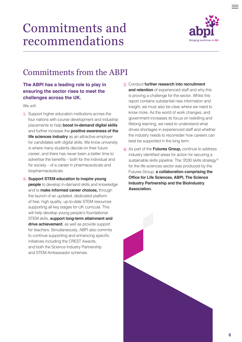# <span id="page-5-0"></span>Commitments and recommendations



### Commitments from the ABPI

### **The ABPI has a leading role to play in ensuring the sector rises to meet the challenges across the UK.**

We will:

- 1. Support higher education institutions across the four nations with course development and industrial placements to help **boost in-demand digital skills** and further increase the **positive awareness of the life sciences industry** as an attractive employer for candidates with digital skills. We know university is where many students decide on their future career, and there has never been a better time to advertise the benefits – both for the individual and for society – of a career in pharmaceuticals and biopharmaceuticals.
- 2. **Support STEM education to inspire young people** to develop in-demand skills and knowledge and to **make informed career choices,** through the launch of an updated, dedicated platform of free, high quality, up-to-date STEM resources supporting all key stages for UK curricula. This will help develop young people's foundational STEM skills, **support long-term attainment and drive achievement**, as well as provide support for teachers. Simultaneously, ABPI also commits to continue supporting and enhancing specific initiatives including the CREST Awards, and both the Science Industry Partnership and STEM Ambassador schemes.
- 3. Conduct **further research into recruitment and retention** of experienced staff and why this is proving a challenge for the sector. Whilst this report contains substantial new information and insight, we must also be clear where we need to know more. As the world of work changes, and government increases its focus on reskilling and lifelong learning, we need to understand what drives shortages in experienced staff and whether the industry needs to reconsider how careers can best be supported in the long term.
- 4. As part of the **Futures Group,** continue to address industry identified areas for action for securing a sustainable skills pipeline. The '2030 skills strategy'**<sup>2</sup>** for the life sciences sector was produced by the Futures Group, **a collaboration comprising the Office for Life Sciences, ABPI, The Science Industry Partnership and the BioIndustry Association.**

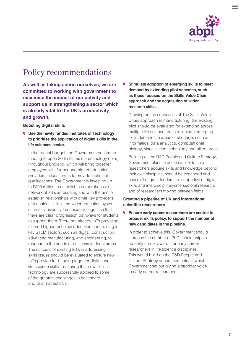

### <span id="page-6-0"></span>Policy recommendations

**As well as taking action ourselves, we are committed to working with government to maximise the impact of our activity and support us in strengthening a sector which is already vital to the UK's productivity and growth.** 

#### **Boosting digital skills**

**Use the newly funded Institutes of Technology to prioritise the application of digital skills in the life sciences sector.** 

In the recent budget, the Government confirmed funding to open 20 Institutes of Technology (IoTs) throughout England, which will bring together employers with further and higher education providers in local areas to provide technical qualifications. The Government is investing up to £290 million to establish a comprehensive network of IoTs across England with the aim to establish relationships with other key providers of technical skills in the wider education system, such as University Technical Colleges, so that there are clear progression pathways for students to support them. There are already IoTs providing tailored higher technical education and training in key STEM sectors, such as digital, construction, advanced manufacturing, and engineering, to respond to the needs of business for local areas. The success of existing IoTs in addressing skills issues should be evaluated to ensure new IoTs provide for bringing together digital and life science skills – ensuring that new skills in technology are successfully applied to some of the greatest challenges in healthcare and pharmaceuticals.

**Stimulate adoption of emerging skills to meet**  v. **demand by extending pilot schemes, such as those focused on the Skills Value Chain approach and the acquisition of wider research skills.** 

Drawing on the successes of The Skills Value Chain approach in manufacturing, the existing pilot should be evaluated for extending across multiple life science areas to include emerging skills demands in areas of shortage, such as informatics, data analytics, computational biology, visualisation technology and allied areas.

Building on the R&D People and Culture Strategy, Government plans to design a pilot to help researchers acquire skills and knowledge beyond their own discipline, should be expanded and ensure that grant funders are supportive of digital skills and interdisciplinary/intersectoral research, and of researchers moving between fields.

### **Creating a pipeline of UK and international scientific researchers**

**Ensure early career researchers are central to broader skills policy, to support the number of new candidates in the pipeline.**

In order to achieve this, Government should increase the number of PhD scholarships a nd early career awards for early career researchers in life science disciplines. This would build on the R&D People and Culture Strategy announcements, in which Government set out giving a stronger voice to early career researchers.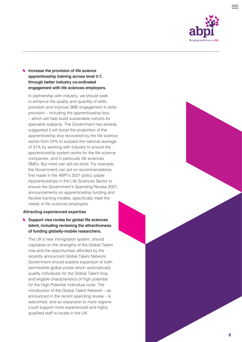

### **Increase the provision of life science apprenticeship training across level 2-7, through better industry co-ordinated engagement with life sciences employers.**

 In partnership with industry, we should seek to enhance the quality and quantity of skills provision and improve SME engagement in skills provision – including the apprenticeship levy – which will help build sustainable cohorts for specialist subjects. The Government has already suggested it will boost the proportion of the apprenticeship levy recovered by the life science sector from 24% to surpass the national average of 31% by working with industry to ensure the apprenticeship system works for the life science companies, and in particular life sciences SMEs. But more can still be done. For example, the Government can act on recommendations first made in the ABPI's 2021 policy paper Apprenticeships in the Life Sciences Sector to ensure the Government's Spending Review 2021 announcements on apprenticeship funding and flexible training models, specifically meet the needs of life sciences employers.

#### **Attracting experienced expertise**

### **Support visa routes for global life sciences talent, including reviewing the attractiveness of funding globally-mobile researchers.**

 The UK's new immigration system, should capitalise on the strengths of the Global Talent visa and the opportunities afforded by the recently announced Global Talent Network. Government should explore expansion of both permissible global prizes which automatically qualify individuals for the Global Talent Visa, and eligible characteristics of high potential for the High Potential Individual route. The introduction of the Global Talent Network – as announced in the recent spending review – is welcomed, and an expansion to more regions could support more experienced and highly qualified staff to locate in the UK.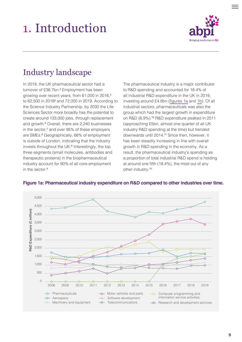# <span id="page-8-0"></span>1. Introduction



### Industry landscape

In 2019, the UK pharmaceutical sector had a turnover of £36.7bn.**<sup>3</sup>** Employment has been growing over recent years, from 61,000 in 2016,**<sup>4</sup>** to 62,500 in 2018**<sup>5</sup>** and 72,000 in 2019. According to the Science Industry Partnership, by 2030 the Life Sciences Sector more broadly has the potential to create around 133,000 jobs, through replacement and growth.**<sup>6</sup>** Overall, there are 2,240 businesses in the sector,**<sup>7</sup>** and over 95% of these employers are SMEs.**<sup>8</sup>** Geographically, 66% of employment is outside of London, indicating that the industry invests throughout the UK.<sup>8</sup> Interestingly, the top three segments (small molecules, antibodies and therapeutic proteins) in the biopharmaceutical industry account for 90% of all core employment in the sector.**<sup>9</sup>**

The pharmaceutical industry is a major contributor to R&D spending and accounted for 18.4% of all industrial R&D expenditure in the UK in 2019, investing around £4.8bn (figures 1a and [1b](#page-9-0)). Of all industrial sectors, pharmaceuticals was also the group which had the largest growth in expenditure on R&D (6.9%).**10** R&D expenditure peaked in 2011 (approaching £5bn, almost one quarter of all UK industry R&D spending at the time) but trended downwards until 2014.**11** Since then, however, it has been steadily increasing in line with overall growth in R&D spending in the economy. As a result, the pharmaceutical industry's spending as a proportion of total industrial R&D spend is holding at around one fifth (18.4%), the most out of any other industry.**<sup>12</sup>**



### **Figure 1a: Pharmaceutical industry expenditure on R&D compared to other industries over time.**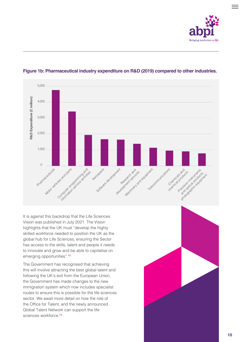



### <span id="page-9-0"></span>**Figure 1b: Pharmaceutical industry expenditure on R&D (2019) compared to other industries.**

It is against this backdrop that the Life Sciences Vision was published in July 2021. The Vision highlights that the UK must "develop the highly skilled workforce needed to position the UK as the global hub for Life Sciences, ensuring the Sector has access to the skills, talent and people it needs to innovate and grow and be able to capitalise on emerging opportunities".**<sup>13</sup>**

The Government has recognised that achieving this will involve attracting the best global talent and following the UK's exit from the European Union, the Government has made changes to the new immigration system which now includes specialist routes to ensure this is possible for the life sciences sector. We await more detail on how the role of the Office for Talent, and the newly announced Global Talent Network can support the life sciences workforce.**<sup>14</sup>**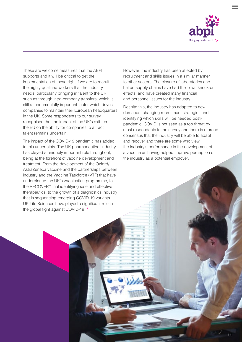

These are welcome measures that the ABPI supports and it will be critical to get the implementation of these right if we are to recruit the highly qualified workers that the industry needs, particularly bringing in talent to the UK, such as through intra-company transfers, which is still a fundamentally important factor which drives companies to maintain their European headquarters in the UK. Some respondents to our survey recognised that the impact of the UK's exit from the EU on the ability for companies to attract talent remains uncertain.

The impact of the COVID-19 pandemic has added to this uncertainty. The UK pharmaceutical industry has played a uniquely important role throughout, being at the forefront of vaccine development and treatment. From the development of the Oxford/ AstraZeneca vaccine and the partnerships between industry and the Vaccine Taskforce (VTF) that have underpinned the UK's vaccination programme, to the RECOVERY trial identifying safe and effective therapeutics, to the growth of a diagnostics industry that is sequencing emerging COVID-19 variants – UK Life Sciences have played a significant role in the global fight against COVID-19.**<sup>13</sup>**

However, the industry has been affected by recruitment and skills issues in a similar manner to other sectors. The closure of laboratories and halted supply chains have had their own knock-on effects, and have created many financial and personnel issues for the industry.

Despite this, the industry has adapted to new demands, changing recruitment strategies and identifying which skills will be needed postpandemic. COVID is not seen as a top threat by most respondents to the survey and there is a broad consensus that the industry will be able to adapt and recover and there are some who view the industry's performance in the development of a vaccine as having helped improve perception of the industry as a potential employer.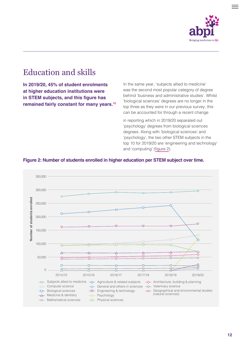

### <span id="page-11-0"></span>Education and skills

**In 2019/20, 45% of student enrolments at higher education institutions were in STEM subjects, and this figure has remained fairly constant for many years.15** In the same year, 'subjects allied to medicine' was the second most popular category of degree behind 'business and administrative studies'. Whilst 'biological sciences' degrees are no longer in the top three as they were in our previous survey, this can be accounted for through a recent change

in reporting which in 2019/20 separated out 'psychology' degrees from biological sciences degrees. Along with 'biological sciences' and 'psychology', the two other STEM subjects in the top 10 for 2019/20 are 'engineering and technology' and 'computing' (figure 2).



### **Figure 2: Number of students enrolled in higher education per STEM subject over time.**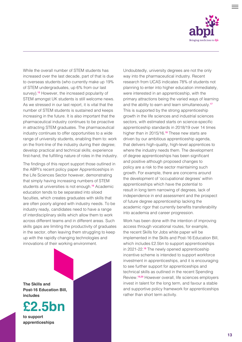

While the overall number of STEM students has increased over the last decade, part of that is due to overseas students (who currently make up 19% of STEM undergraduates, up 6% from our last survey).**15** However, the increased popularity of STEM amongst UK students is still welcome news. As we stressed in our last report, it is vital that the number of STEM students is sustained and keeps increasing in the future. It is also important that the pharmaceutical industry continues to be proactive in attracting STEM graduates. The pharmaceutical industry continues to offer opportunities to a wide range of university students, enabling them to: work on the front-line of the industry during their degree; develop practical and technical skills; experience first-hand, the fulfilling nature of roles in the industry.

The findings of this report support those outlined in the ABPI's recent policy paper Apprenticeships in the Life Sciences Sector however, demonstrating that simply having increasing numbers of STEM students at universities is not enough.**16** Academic education tends to be separated into siloed faculties, which creates graduates with skills that are often poorly aligned with industry needs. To be industry ready, candidates need to have a range of interdisciplinary skills which allow them to work across different teams and in different areas. Such skills gaps are limiting the productivity of graduates in the sector, often leaving them struggling to keep up with the rapidly changing technologies and innovations of their working environment.





**to support apprenticeships**

Undoubtedly, university degrees are not the only way into the pharmaceutical industry. Recent research from UCAS indicates 78% of students not planning to enter into higher education immediately, were interested in an apprenticeship, with the primary attractions being the varied ways of learning and the ability to earn and learn simultaneously.**<sup>17</sup>** This is supported by the strong apprenticeship growth in the life sciences and industrial sciences sectors, with estimated starts on science-specific apprenticeship standards in 2018/19 over 14 times higher than in 2015/16.**18** These new starts are driven by our ambitious apprenticeship agenda, that delivers high-quality, high-level apprentices to where the industry needs them. The development of degree apprenticeships has been significant and positive although proposed changes to policy are a risk to the sector maintaining such growth. For example, there are concerns around the development of 'occupational degrees' within apprenticeships which have the potential to result in long term narrowing of degrees, lack of independence in end assessment and the prospect of future degree apprenticeship lacking the academic rigor that currently benefits transferability into academia and career progression.

Work has been done with the intention of improving access through vocational routes, for example, the recent Skills for Jobs white paper will be implemented in the Skills and Post-16 Education Bill, which includes £2.5bn to support apprenticeships in 2021-22.**18** The newly opened apprenticeship incentive scheme is intended to support workforce investment in apprenticeships, and it is encouraging to see further support for apprenticeships and technical skills as outlined in the recent Spending Review.**19,20** However overall, life sciences employers invest in talent for the long term, and favour a stable and supportive policy framework for apprenticeships rather than short term activity.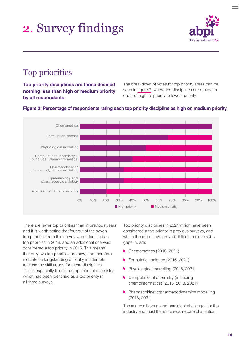# <span id="page-13-0"></span>2. Survey findings



### Top priorities

**Top priority disciplines are those deemed nothing less than high or medium priority by all respondents.** 

The breakdown of votes for top priority areas can be seen in figure 3, where the disciplines are ranked in order of highest priority to lowest priority.



### **Figure 3: Percentage of respondents rating each top priority discipline as high or, medium priority.**

There are fewer top priorities than in previous years and it is worth noting that four out of the seven top priorities from this survey were identified as top priorities in 2018, and an additional one was considered a top priority in 2015. This means that only two top priorities are new, and therefore indicates a longstanding difficulty in attempts to close the skills gaps for these disciplines. This is especially true for computational chemistry, which has been identified as a top priority in all three surveys.

Top priority disciplines in 2021 which have been considered a top priority in previous surveys, and which therefore have proved difficult to close skills gaps in, are:

- **Chemometrics (2018, 2021)**
- Formulation science (2015, 2021)
- Physiological modelling (2018, 2021)
- **Computational chemistry (including** chemoinformatics) (2015, 2018, 2021)
- **Pharmacokinetic/pharmacodynamics modelling** (2018, 2021)

These areas have posed persistent challenges for the industry and must therefore require careful attention.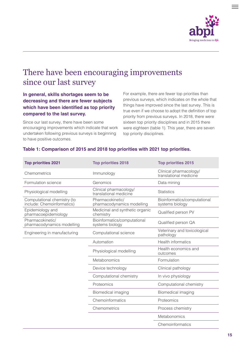

### <span id="page-14-0"></span>There have been encouraging improvements since our last survey

### **In general, skills shortages seem to be decreasing and there are fewer subjects which have been identified as top priority compared to the last survey.**

Since our last survey, there have been some encouraging improvements which indicate that work undertaken following previous surveys is beginning to have positive outcomes.

For example, there are fewer top priorities than previous surveys, which indicates on the whole that things have improved since the last survey. This is true even if we choose to adopt the definition of top priority from previous surveys. In 2018, there were sixteen top priority disciplines and in 2015 there were eighteen (table 1). This year, there are seven top priority disciplines.

### **Table 1: Comparison of 2015 and 2018 top priorities with 2021 top priorities.**

| <b>Top priorities 2021</b>                                | <b>Top priorities 2018</b>                       | <b>Top priorities 2015</b>                       |
|-----------------------------------------------------------|--------------------------------------------------|--------------------------------------------------|
| Chemometrics                                              | Immunology                                       | Clinical pharmacology/<br>translational medicine |
| Formulation science                                       | Genomics                                         | Data mining                                      |
| Physiological modelling                                   | Clinical pharmacology/<br>translational medicine | <b>Statistics</b>                                |
| Computational chemistry (to<br>include: Chemoinformatics) | Pharmacokinetic/<br>pharmacodynamics modelling   | Bioinformatics/computational<br>systems biology  |
| Epidemiology and<br>pharmacoepidemiology                  | Medicinal and synthetic organic<br>chemistry     | Qualified person PV                              |
| Pharmacokinetic/<br>pharmacodynamics modelling            | Bioinformatics/computational<br>systems biology  | Qualified person QA                              |
| Engineering in manufacturing                              | Computational science                            | Veterinary and toxicological<br>pathology        |
|                                                           | Automation                                       | <b>Health informatics</b>                        |
|                                                           | Physiological modelling                          | Health economics and<br>outcomes                 |
|                                                           | Metabonomics                                     | Formulation                                      |
|                                                           | Device technology                                | Clinical pathology                               |
|                                                           | Computational chemistry                          | In vivo physiology                               |
|                                                           | Proteomics                                       | Computational chemistry                          |
|                                                           | Biomedical imaging                               | Biomedical imaging                               |
|                                                           | Chemoinformatics                                 | Proteomics                                       |
|                                                           | Chemometrics                                     | Process chemistry                                |
|                                                           |                                                  | Metabonomics                                     |
|                                                           |                                                  | Chemoinformatics                                 |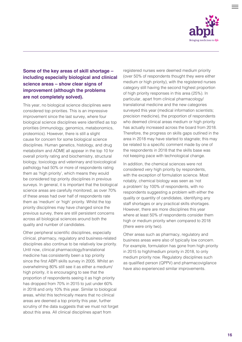

### **Some of the key areas of skill shortage – including especially biological and clinical science areas – show clear signs of improvement (although the problems are not completely solved).**

This year, no biological science disciplines were considered top priorities. This is an impressive improvement since the last survey, where four biological science disciplines were identified as top priorities (immunology, genomics, metabonomics, proteomics). However, there is still a slight cause for concern for some biological science disciplines. Human genetics, histology, and drug metabolism and ADME all appear in the top 10 for overall priority rating and biochemistry, structural biology, toxicology and veterinary and toxicological pathology had 50% or more of respondents rating them as 'high priority', which means they would be considered top priority disciplines in previous surveys. In general, it is important that the biological science areas are carefully monitored, as over 70% of these areas had over half of respondents rate them as 'medium' or 'high' priority. Whilst the top priority disciplines may have changed since the previous survey, there are still persistent concerns across all biological sciences around both the quality and number of candidates.

Other peripheral scientific disciplines, especially clinical, pharmacy, regulatory and business-related disciplines also continue to be relatively low priority. Until now, clinical pharmacology/translational medicine has consistently been a top priority since the first ABPI skills survey in 2005. Whilst an overwhelming 80% still see it as either a medium/ high priority, it is encouraging to see that the proportion of respondents seeing it as high priority has dropped from 70% in 2015 to just under 60% in 2018 and only 10% this year. Similar to biological areas, whilst this technically means that no clinical areas are deemed a top priority this year, further scrutiny of the data suggests that we must not forget about this area. All clinical disciplines apart from

registered nurses were deemed medium priority (over 50% of respondents thought they were either medium or high priority), with the registered nurses category still having the second highest proportion of high priority responses in this area (25%). In particular, apart from clinical pharmacology/ translational medicine and the new categories surveyed this year (medical information scientists; precision medicine), the proportion of respondents who deemed clinical areas medium or high priority has actually increased across the board from 2018. Therefore, the progress on skills gaps outlined in the area in 2018 may have started to stagnate; this may be related to a specific comment made by one of the respondents in 2018 that the skills base was not keeping pace with technological change.

In addition, the chemical sciences were not considered very high priority by respondents, with the exception of formulation science. Most notably, chemical biology was seen as 'not a problem' by 100% of respondents, with no respondents suggesting a problem with either the quality or quantity of candidates, identifying any staff shortages or any practical skills shortages. However, there are more disciplines this year where at least 50% of respondents consider them high or medium priority when compared to 2018 (there were only two).

Other areas such as pharmacy, regulatory and business areas were also of typically low concern. For example, formulation has gone from high priority in 2015 to high/medium priority in 2018, to only medium priority now. Regulatory disciplines such as qualified person (QPPV) and pharmacovigilance have also experienced similar improvements.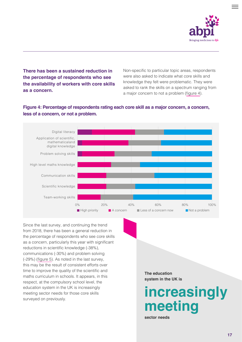

**There has been a sustained reduction in the percentage of respondents who see the availability of workers with core skills as a concern.** 

Non-specific to particular topic areas, respondents were also asked to indicate what core skills and knowledge they felt were problematic. They were asked to rank the skills on a spectrum ranging from a major concern to not a problem (figure 4).

### **Figure 4: Percentage of respondents rating each core skill as a major concern, a concern, less of a concern, or not a problem.**



Since the last survey, and continuing the trend from 2018, there has been a general reduction in the percentage of respondents who see core skills as a concern, particularly this year with significant reductions in scientific knowledge (-38%), communications (-30%) and problem solving (-29%) ([figure 5\)](#page-17-0). As noted in the last survey, this may be the result of consistent efforts over time to improve the quality of the scientific and maths curriculum in schools. It appears, in this respect, at the compulsory school level, the education system in the UK is increasingly meeting sector needs for those core skills education system in the UK is increasingly<br>meeting sector needs for those core skills<br>surveyed on previously.

**The education system in the UK is**

# **meeting**

**sector needs**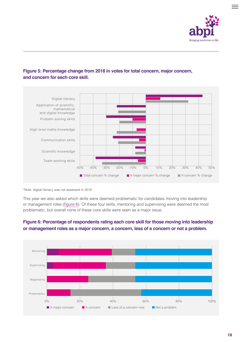

### <span id="page-17-0"></span>**Figure 5: Percentage change from 2018 in votes for total concern, major concern, and concern for each core skill.**



\*Note: digital literacy was not assessed in 2018.

This year we also asked which skills were deemed problematic for candidates moving into leadership or management roles (figure 6). Of these four skills, mentoring and supervising were deemed the most problematic, but overall none of these core skills were seen as a major issue.



### **Figure 6: Percentage of respondents rating each core skill for those moving into leadership or management roles as a major concern, a concern, less of a concern or not a problem.**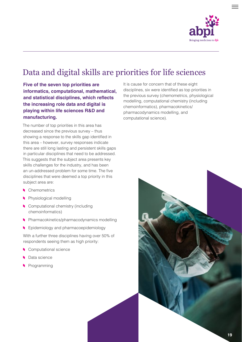

### <span id="page-18-0"></span>Data and digital skills are priorities for life sciences

**Five of the seven top priorities are informatics, computational, mathematical, and statistical disciplines, which reflects the increasing role data and digital is playing within life sciences R&D and manufacturing.** 

The number of top priorities in this area has decreased since the previous survey – thus showing a response to the skills gap identified in this area – however, survey responses indicate there are still long lasting and persistent skills gaps in particular disciplines that need to be addressed. This suggests that the subject area presents key skills challenges for the industry, and has been an un-addressed problem for some time. The five disciplines that were deemed a top priority in this subject area are:

- **Chemometrics**
- **Physiological modelling**
- **Computational chemistry (including** chemoinformatics)
- **Pharmacokinetics/pharmacodynamics modelling**
- **Epidemiology and pharmacoepidemiology**

With a further three disciplines having over 50% of respondents seeing them as high priority:

- Computational science
- Data science
- Programming

It is cause for concern that of these eight disciplines, six were identified as top priorities in the previous survey (chemometrics, physiological modelling, computational chemistry (including chemoinformatics), pharmacokinetics/ pharmacodynamics modelling, and computational science).

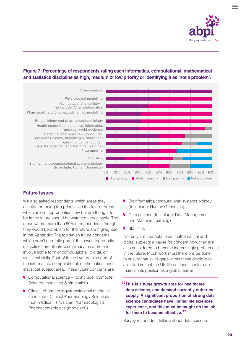

### **High priority Medium priority Low priority Not a problem** 0% 10% 20% 30% 40% 50% 60% 70% 80% 90% 100% Chemometrics Physiological modelling Computational chemistry – (to include: Chemoinformatics Pharmacokinetic/pharmacodynamics modelling Epidemiology and pharmacoepidemiology Health economics, outcomes, informatics and real world evidence Computational science – (to include: Computer Science, modelling & simulation) Data science (to include: Data Management and Machine Learning) Programming **Statistics** Bioinformatics/computational systems biology (to include: Human Genomics)

### **Figure 7: Percentage of respondents rating each informatics, computational, mathematical and statistics discipline as high, medium or low priority or identifying it as 'not a problem'.**

### **Future issues**

We also asked respondents which areas they anticipated being top priorities in the future. Areas which are not top priorities now but are thought to be in the future should be watched very closely. The areas where more than 50% of respondents thought they would be problem for the future are highlighted in the Appendix. The top seven future concerns which aren't currently part of the seven top priority disciplines are all interdisciplinary in nature and involve some form of computational, digital, or statistical skills. Four of these five are also part of the informatics, computational, mathematical and statistical subject area. These future concerns are:

- Computational science (to include: Computer Science, modelling & simulation)
- **Clinical pharmacology/translational medicine** (to include: Clinical Pharmacology Scientists (non-medical); Physician Pharmacologists; Pharmacometricians (modelers))
- Bioinformatics/computational systems biology (to include: Human Genomics)
- Data science (to include: Data Management and Machine Learning)
- Statistics

Not only are computational, mathematical and digital subjects a cause for concern now, they are also considered to become increasingly problematic in the future. Much work must therefore be done to ensure that skills gaps within these disciplines are filled so that the UK life sciences sector can maintain its position as a global leader.

**"This is a huge growth area for healthcare data science, and demand currently outstrips supply. A significant proportion of strong data science candidates have limited life sciences experience, and this must be taught on the job for them to become effective."** 

Survey respondent talking about data science.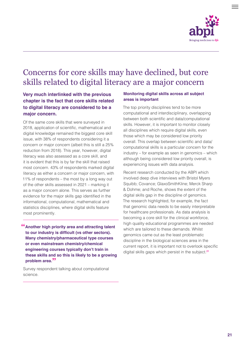

### <span id="page-20-0"></span>Concerns for core skills may have declined, but core skills related to digital literacy are a major concern

### **Very much interlinked with the previous chapter is the fact that core skills related to digital literacy are considered to be a major concern.**

Of the same core skills that were surveyed in 2018, application of scientific, mathematical and digital knowledge remained the biggest core skill issue, with 38% of respondents considering it a concern or major concern (albeit this is still a 25% reduction from 2018). This year, however, digital literacy was also assessed as a core skill, and it is evident that this is by far the skill that raised most concern. 43% of respondents marked digital literacy as either a concern or major concern, with 11% of respondents – the most by a long way out of the other skills assessed in 2021 – marking it as a major concern alone. This serves as further evidence for the major skills gap identified in the informational, computational, mathematical and statistics disciplines, where digital skills feature most prominently.

**"Another high priority area and attracting talent to our industry is difficult (vs other sectors). Many chemistry/pharmaceutical type courses or even mainstream chemistry/chemical engineering courses typically don't train in these skills and so this is likely to be a growing problem area."**

Survey respondent talking about computational science.

### **Monitoring digital skills across all subject areas is important**

The top priority disciplines tend to be more computational and interdisciplinary, overlapping between both scientific and data/computational skills. However, it is important to monitor closely all disciplines which require digital skills, even those which may be considered low priority overall. This overlap between scientific and data/ computational skills is a particular concern for the industry – for example as seen in genomics – which although being considered low priority overall, is experiencing issues with data analysis.

Recent research conducted by the ABPI which involved deep dive interviews with Bristol Myers Squibb; Covance; GlaxoSmithKline; Merck Sharp & Dohme; and Roche, shows the extent of the digital skills gap in the discipline of genomics. The research highlighted, for example, the fact that genomic data needs to be easily interpretable for healthcare professionals. As data analysis is becoming a core skill for the clinical workforce, high quality educational programmes are needed which are tailored to these demands. Whilst genomics came out as the least problematic discipline in the biological sciences area in the current report, it is important not to overlook specific digital skills gaps which persist in the subject.**<sup>21</sup>**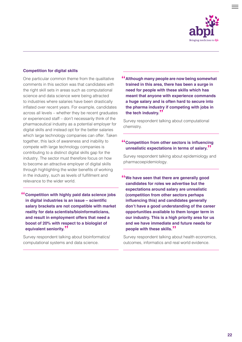

#### **Competition for digital skills**

One particular common theme from the qualitative comments in this section was that candidates with the right skill sets in areas such as computational science and data science were being attracted to industries where salaries have been drastically inflated over recent years. For example, candidates across all levels – whether they be recent graduates or experienced staff – don't necessarily think of the pharmaceutical industry as a potential employer for digital skills and instead opt for the better salaries which large technology companies can offer. Taken together, this lack of awareness and inability to compete with large technology companies is contributing to a distinct digital skills gap for the industry. The sector must therefore focus on how to become an attractive employer of digital skills through highlighting the wider benefits of working in the industry, such as levels of fulfillment and relevance to the wider world.

**"Competition with highly paid data science jobs in digital industries is an issue – scientific salary brackets are not compatible with market reality for data scientists/bioinformaticians, and result in employment offers that need a boost of 20% with respect to a biologist of equivalent seniority."**

Survey respondent talking about bioinformatics/ computational systems and data science.

**"Although many people are now being somewhat trained in this area, there has been a surge in need for people with these skills which has meant that anyone with experience commands a huge salary and is often hard to secure into the pharma industry if competing with jobs in the tech industry."**

Survey respondent talking about computational chemistry.

### **"Competition from other sectors is influencing unrealistic expectations in terms of salary."**

Survey respondent talking about epidemiology and pharmacoepidemiology.

**"We have seen that there are generally good candidates for roles we advertise but the expectations around salary are unrealistic (competition from other sectors perhaps influencing this) and candidates generally don't have a good understanding of the career opportunities available to them longer term in our industry. This is a high priority area for us and we have immediate and future needs for people with these skills."**

Survey respondent talking about health economics, outcomes, informatics and real world evidence.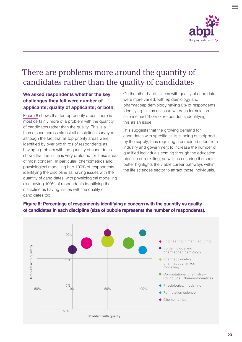

### <span id="page-22-0"></span>There are problems more around the quantity of candidates rather than the quality of candidates

### **We asked respondents whether the key challenges they felt were number of applicants; quality of applicants; or both.**

Figure 8 shows that for top priority areas, there is most certainly more of a problem with the quantity of candidates rather than the quality. This is a theme seen across almost all disciplines surveyed, although the fact that all top priority areas were identified by over two thirds of respondents as having a problem with the quantity of candidates shows that the issue is very profound for these areas of most concern. In particular, chemometrics and physiological modelling had 100% of respondents identifying the discipline as having issues with the quantity of candidates, with physiological modelling also having 100% of respondents identifying the discipline as having issues with the quality of candidates too.

On the other hand, issues with quality of candidate were more varied, with epidemiology and pharmacoepidemiology having 0% of respondents identifying this as an issue whereas formulation science had 100% of respondents identifying this as an issue.

This suggests that the growing demand for candidates with specific skills is being outstripped by the supply, thus requiring a combined effort from industry and government to increase the number of qualified individuals coming through the education pipeline or reskilling, as well as ensuring the sector better highlights the viable career pathways within the life sciences sector to attract those individuals.

### **Figure 8: Percentage of respondents identifying a concern with the quantity vs quality of candidates in each discipline (size of bubble represents the number of respondents).**



- Engineering in manufacturing
- Epidemiology and pharmacoepidemiology
- Pharmacokinetic/ pharmacodynamics modelling
- $\bullet$ Computational chemistry – (to include: Chemoinformatics)
- **Physiological modelling**
- Formulation science
- Chemometrics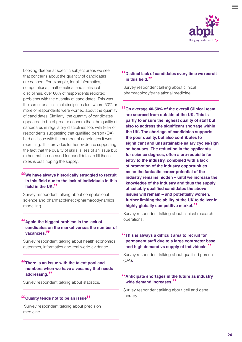

Looking deeper at specific subject areas we see that concerns about the quantity of candidates are echoed. For example, for all informatics, computational, mathematical and statistical disciplines, over 60% of respondents reported problems with the quantity of candidates. This was the same for all clinical disciplines too, where 50% or more of respondents were worried about the quantity of candidates. Similarly, the quantity of candidates appeared to be of greater concern than the quality of candidates in regulatory disciplines too, with 86% of respondents suggesting that qualified person (QA) had an issue with the number of candidates it was recruiting. This provides further evidence supporting the fact that the quality of skills is less of an issue but rather that the demand for candidates to fill these roles is outstripping the supply.

### **"We have always historically struggled to recruit in this field due to the lack of individuals in this field in the UK."**

Survey respondent talking about computational science and pharmacokinetic/pharmacodynamics modelling.

### **"Again the biggest problem is the lack of candidates on the market versus the number of vacancies."**

Survey respondent talking about health economics, outcomes, informatics and real world evidence.

### **"There is an issue with the talent pool and numbers when we have a vacancy that needs addressing."**

Survey respondent talking about statistics.

### **"Quality tends not to be an issue"**

 Survey respondent talking about precision medicine.

### **"Distinct lack of candidates every time we recruit in this field."**

Survey respondent talking about clinical pharmacology/translational medicine.

**"On average 40-50% of the overall Clinical team are sourced from outside of the UK. This is partly to ensure the highest quality of staff but also to address the significant shortage within the UK. The shortage of candidates supports the poor quality, but also contributes to significant and unsustainable salary cycles/sign on bonuses. The reduction in the applicants for science degrees, often a pre-requisite for entry to the industry, combined with a lack of promotion of the industry opportunities mean the fantastic career potential of the industry remains hidden – until we increase the knowledge of the industry and thus the supply of suitably qualified candidates the above issues will remain – and potentially worsen, further limiting the ability of the UK to deliver in highly globally competitive market."** 

Survey respondent talking about clinical research operations.

### **"This is always a difficult area to recruit for permanent staff due to a large contractor base and high demand vs supply of individuals."**

Survey respondent talking about qualified person (QA)**.**

### **"Anticipate shortages in the future as industry wide demand increases."**

Survey respondent talking about cell and gene therapy.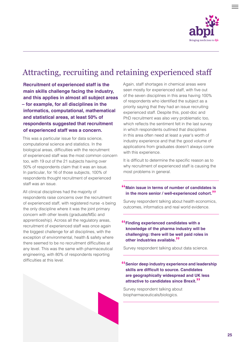

### <span id="page-24-0"></span>Attracting, recruiting and retaining experienced staff

**Recruitment of experienced staff is the main skills challenge facing the industry, and this applies in almost all subject areas – for example, for all disciplines in the informatics, computational, mathematical and statistical areas, at least 50% of respondents suggested that recruitment of experienced staff was a concern.** 

This was a particular issue for data science, computational science and statistics. In the biological areas, difficulties with the recruitment of experienced staff was the most common concern too, with 19 out of the 21 subjects having over 50% of respondents claim that it was an issue. In particular, for 16 of those subjects, 100% of respondents thought recruitment of experienced staff was an issue.

All clinical disciplines had the majority of respondents raise concerns over the recruitment of experienced staff, with registered nurse -s being the only discipline where it was the joint primary concern with other levels (graduate/MSc and apprenticeship). Across all the regulatory areas, recruitment of experienced staff was once again the biggest challenge for all disciplines, with the exception of environmental, health & safety where there seemed to be no recruitment difficulties at any level. This was the same with pharmaceutical engineering, with 80% of respondents reporting difficulties at this level.

Again, staff shortages in chemical areas were seen mostly for experienced staff, with five out of the seven disciplines in this area having 100% of respondents who identified the subject as a priority saying that they had an issue recruiting experienced staff. Despite this, post-doc and PhD recruitment was also very problematic too, which reflects the sentiment felt in the last survey in which respondents outlined that disciplines in this area often need at least a year's worth of industry experience and that the good volume of applications from graduates doesn't always come with this experience.

It is difficult to determine the specific reason as to why recruitment of experienced staff is causing the most problems in general.

### **"Main issue in terms of number of candidates is in the more senior / well-experienced cohort."**

Survey respondent talking about health economics, outcomes, informatics and real world evidence.

### **"Finding experienced candidates with a knowledge of the pharma industry will be challenging: there will be well paid roles in other industries available."**

Survey respondent talking about data science.

### **"Senior deep industry experience and leadership skills are difficult to source. Candidates are geographically widespread and UK less attractive to candidates since Brexit."**

Survey respondent talking about biopharmaceuticals/biologics.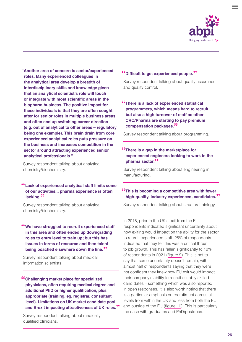

**"Another area of concern is senior/experienced roles. Many experienced colleagues in the analytical area develop a breadth of interdisciplinary skills and knowledge given that an analytical scientist's role will touch or integrate with most scientific areas in the biopharm business. The positive impact for these individuals is that they are often sought after for senior roles in multiple business areas and often end up switching career direction (e.g. out of analytical to other areas – regulatory being one example). This brain drain from core experienced analytical roles puts pressure on the business and increases competition in the sector around attracting experienced senior analytical professionals."** 

Survey respondent talking about analytical chemistry/biochemistry.

### **"Lack of experienced analytical staff limits some of our activities... pharma experience is often lacking."**

Survey respondent talking about analytical chemistry/biochemistry.

### **"We have struggled to recruit experienced staff in this area and often ended up downgrading roles to entry level to train up; but this has issues in terms of resource and then talent being poached elsewhere down the line."**

Survey respondent talking about medical information scientists.

**"Challenging market place for specialized physicians, often requiring medical degree and additional PhD or higher qualification, plus appropriate (training, eg, registrar, consultant level). Limitations on UK market candidate pool and Brexit impacting attractiveness of UK roles."**

Survey respondent talking about medically qualified clinicians.

### **"Difficult to get experienced people."**

Survey respondent talking about quality assurance and quality control.

### **"There is a lack of experienced statistical programmers, which means hard to recruit, but also a high turnover of staff as other CRO/Pharma are starting to pay premium compensation packages."**

Survey respondent talking about programming.

### **"There is a gap in the marketplace for experienced engineers looking to work in the pharma sector."**

Survey respondent talking about engineering in manufacturing.

### **"This is becoming a competitive area with fewer high-quality, industry experienced, candidates."**

Survey respondent talking about structural biology.

In 2018, prior to the UK's exit from the EU, respondents indicated significant uncertainty about how exiting would impact on the ability for the sector to recruit experienced staff. 25% of respondents indicated that they felt this was a critical threat to job growth. This has fallen significantly to 10% of respondents in 2021 ([figure 9\)](#page-26-0). This is not to say that some uncertainty doesn't remain, with almost half of respondents saying that they were not confident they knew how EU exit would impact their company's ability to recruit suitably skilled candidates – something which was also reported in open responses. It is also worth noting that there is a particular emphasis on recruitment across all levels from within the UK and less from both the EU and outside of the EU [\(figure 10\)](#page-26-0). This is particularly the case with graduates and PhD/postdocs.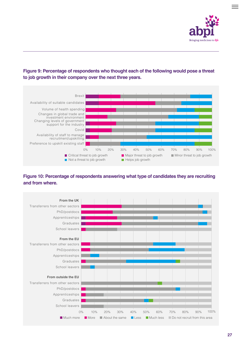



<span id="page-26-0"></span>**Figure 9: Percentage of respondents who thought each of the following would pose a threat to job growth in their company over the next three years.**

### **Figure 10: Percentage of respondents answering what type of candidates they are recruiting and from where.**

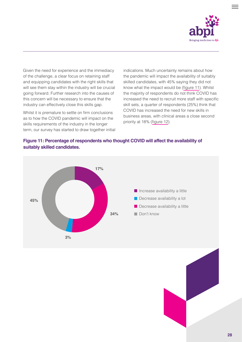

Given the need for experience and the immediacy of the challenge, a clear focus on retaining staff and equipping candidates with the right skills that will see them stay within the industry will be crucial going forward. Further research into the causes of this concern will be necessary to ensure that the industry can effectively close this skills gap.

Whilst it is premature to settle on firm conclusions as to how the COVID pandemic will impact on the skills requirements of the industry in the longer term, our survey has started to draw together initial indications. Much uncertainty remains about how the pandemic will impact the availability of suitably skilled candidates, with 45% saying they did not know what the impact would be (figure 11). Whilst the majority of respondents do not think COVID has increased the need to recruit more staff with specific skill sets, a quarter of respondents (25%) think that COVID has increased the need for new skills in business areas, with clinical areas a close second priority at 18% [\(figure 12\)](#page-28-0).

### **Figure 11: Percentage of respondents who thought COVID will affect the availability of suitably skilled candidates.**

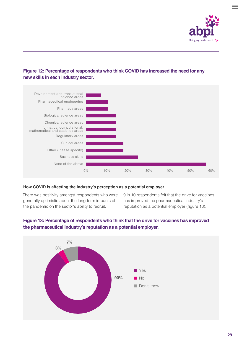

### <span id="page-28-0"></span>**Figure 12: Percentage of respondents who think COVID has increased the need for any new skills in each industry sector.**



### **How COVID is affecting the industry's perception as a potential employer**

There was positivity amongst respondents who were generally optimistic about the long-term impacts of the pandemic on the sector's ability to recruit.

9 in 10 respondents felt that the drive for vaccines has improved the pharmaceutical industry's reputation as a potential employer (figure 13).



### **Figure 13: Percentage of respondents who think that the drive for vaccines has improved the pharmaceutical industry's reputation as a potential employer.**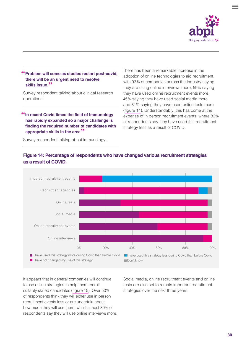

### **"Problem will come as studies restart post-covid, there will be an urgent need to resolve skills issue."**

Survey respondent talking about clinical research operations.

### **"In recent Covid times the field of Immunology has rapidly expanded so a major challenge is finding the required number of candidates with appropriate skills in the area"**

Survey respondent talking about immunology.

There has been a remarkable increase in the adoption of online technologies to aid recruitment, with 93% of companies across the industry saying they are using online interviews more, 59% saying they have used online recruitment events more, 45% saying they have used social media more and 31% saying they have used online tests more (figure 14). Understandably, this has come at the expense of in person recruitment events, where 83% of respondents say they have used this recruitment strategy less as a result of COVID.



### **Figure 14: Percentage of respondents who have changed various recruitment strategies as a result of COVID.**

It appears that in general companies will continue to use online strategies to help them recruit suitably skilled candidates ([figure 15](#page-30-0)). Over 50% of respondents think they will either use in person recruitment events less or are uncertain about how much they will use them, whilst almost 80% of respondents say they will use online interviews more. Social media, online recruitment events and online tests are also set to remain important recruitment strategies over the next three years.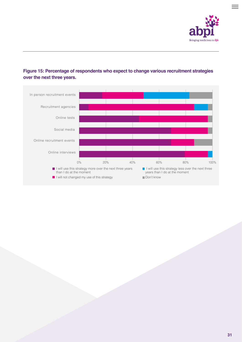

### <span id="page-30-0"></span>**Figure 15: Percentage of respondents who expect to change various recruitment strategies over the next three years.**

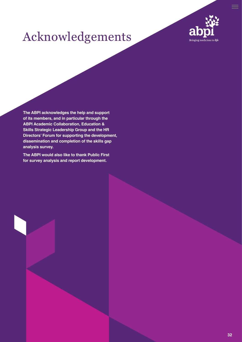

# <span id="page-31-0"></span>Acknowledgements

**The ABPI acknowledges the help and support of its members, and in particular through the ABPI Academic Collaboration, Education & Skills Strategic Leadership Group and the HR Directors' Forum for supporting the development, dissemination and completion of the skills gap analysis survey.**

**The ABPI would also like to thank Public First for survey analysis and report development.**

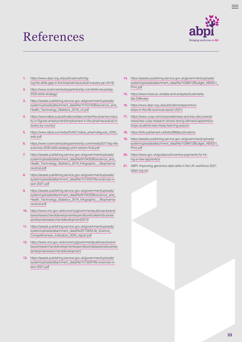# <span id="page-32-0"></span>References



- **1.** [https://www.abpi.org.uk/publications/bridg](https://www.abpi.org.uk/publications/bridging-the-skills-gap-in-the-biopharmaceutical-industry-jan-2019/)[ing-the-skills-gap-in-the-biopharmaceutical-industry-jan-2019/](https://www.abpi.org.uk/publications/bridging-the-skills-gap-in-the-biopharmaceutical-industry-jan-2019/)
- **2.** [https://www.scienceindustrypartnership.com/skills-issues/sip-](https://www.scienceindustrypartnership.com/skills-issues/sip-2030-skills-strategy)[2030-skills-strategy](https://www.scienceindustrypartnership.com/skills-issues/sip-2030-skills-strategy)/
- **3.** [https://assets.publishing.service.gov.uk/government/uploads/](https://assets.publishing.service.gov.uk/government/uploads/system/uploads/attachment_data/file/1015316/Bioscience_and_Health_Technology_Statistics_2019_v2.pdf) system/uploads/attachment\_data/file/1015316/Bioscience\_and [Health\\_Technology\\_Statistics\\_2019\\_v2.pdf](https://assets.publishing.service.gov.uk/government/uploads/system/uploads/attachment_data/file/1015316/Bioscience_and_Health_Technology_Statistics_2019_v2.pdf)
- **4.** [https://www.efpia.eu/publications/data-center/the-pharma-indus](https://www.efpia.eu/publications/data-center/the-pharma-industry-in-figures-employment/employment-in-the-pharmaceutical-industry-by-country/)[try-in-figures-employment/employment-in-the-pharmaceutical-in](https://www.efpia.eu/publications/data-center/the-pharma-industry-in-figures-employment/employment-in-the-pharmaceutical-industry-by-country/)[dustry-by-country/](https://www.efpia.eu/publications/data-center/the-pharma-industry-in-figures-employment/employment-in-the-pharmaceutical-industry-by-country/)
- **5.** [https://www.efpia.eu/media/554521/efpia\\_pharmafigures\\_2020\\_](https://www.efpia.eu/media/554521/efpia_pharmafigures_2020_web.pdf) [web.pdf](https://www.efpia.eu/media/554521/efpia_pharmafigures_2020_web.pdf)
- **6.** [https://www.scienceindustrypartnership.com/media/2071/sip-life](https://www.scienceindustrypartnership.com/media/2071/sip-life-sciences-2030-skills-strategy-print-version-final.pdf)[sciences-2030-skills-strategy-print-version-final.pdf](https://www.scienceindustrypartnership.com/media/2071/sip-life-sciences-2030-skills-strategy-print-version-final.pdf)
- **7.** h[ttps://assets.publishing.service.gov.uk/government/uploads/](https://assets.publishing.service.gov.uk/government/uploads/system/uploads/attachment_data/file/910435/Bioscience_and_Health_Technology_Statistics_2019_Infographic_-_Biopharmaceutical.pdf) [system/uploads/attachment\\_data/file/910435/Bioscience\\_and\\_](https://assets.publishing.service.gov.uk/government/uploads/system/uploads/attachment_data/file/910435/Bioscience_and_Health_Technology_Statistics_2019_Infographic_-_Biopharmaceutical.pdf) [Health\\_Technology\\_Statistics\\_2019\\_Infographic\\_-\\_Biopharma](https://assets.publishing.service.gov.uk/government/uploads/system/uploads/attachment_data/file/910435/Bioscience_and_Health_Technology_Statistics_2019_Infographic_-_Biopharmaceutical.pdf)[ceutical.pdf](https://assets.publishing.service.gov.uk/government/uploads/system/uploads/attachment_data/file/910435/Bioscience_and_Health_Technology_Statistics_2019_Infographic_-_Biopharmaceutical.pdf)
- **8.** [https://assets.publishing.service.gov.uk/government/uploads/](https://assets.publishing.service.gov.uk/government/uploads/system/uploads/attachment_data/file/1013597/life-sciences-vision-2021.pdf) [system/uploads/attachment\\_data/file/1013597/life-sciences-vi](https://assets.publishing.service.gov.uk/government/uploads/system/uploads/attachment_data/file/1013597/life-sciences-vision-2021.pdf)[sion-2021.pdf](https://assets.publishing.service.gov.uk/government/uploads/system/uploads/attachment_data/file/1013597/life-sciences-vision-2021.pdf)
- **9.** [https://assets.publishing.service.gov.uk/government/uploads/](https://assets.publishing.service.gov.uk/government/uploads/system/uploads/attachment_data/file/910435/Bioscience_and_Health_Technology_Statistics_2019_Infographic_-_Biopharmaceutical.pdf) system/uploads/attachment\_data/file/910435/Bioscience\_and Health Technology Statistics 2019 Infographic - Biopharma[ceutical.pdf](https://assets.publishing.service.gov.uk/government/uploads/system/uploads/attachment_data/file/910435/Bioscience_and_Health_Technology_Statistics_2019_Infographic_-_Biopharmaceutical.pdf)
- **10.** [https://www.ons.gov.uk/economy/governmentpublicsectorand](https://www.ons.gov.uk/economy/governmentpublicsectorandtaxes/researchanddevelopmentexpenditure/bulletins/businessenterpriseresearchanddevelopment/2019)[taxes/researchanddevelopmentexpenditure/bulletins/busines](https://www.ons.gov.uk/economy/governmentpublicsectorandtaxes/researchanddevelopmentexpenditure/bulletins/businessenterpriseresearchanddevelopment/2019)[senterpriseresearchanddevelopment/2019](https://www.ons.gov.uk/economy/governmentpublicsectorandtaxes/researchanddevelopmentexpenditure/bulletins/businessenterpriseresearchanddevelopment/2019)
- **11.** [https://assets.publishing.service.gov.uk/government/uploads/](https://assets.publishing.service.gov.uk/government/uploads/system/uploads/attachment_data/file/977265/Life_Science_Competitiveness_Indicators_2020_report.pdf) [system/uploads/attachment\\_data/file/977265/Life\\_Science\\_](https://assets.publishing.service.gov.uk/government/uploads/system/uploads/attachment_data/file/977265/Life_Science_Competitiveness_Indicators_2020_report.pdf) [Competitiveness\\_Indicators\\_2020\\_report.pdf](https://assets.publishing.service.gov.uk/government/uploads/system/uploads/attachment_data/file/977265/Life_Science_Competitiveness_Indicators_2020_report.pdf)
- **12.** [https://www.ons.gov.uk/economy/governmentpublicsectorand](https://www.ons.gov.uk/economy/governmentpublicsectorandtaxes/researchanddevelopmentexpenditure/datasets/ukbusinessenterpriseresearchanddevelopment)[taxes/researchanddevelopmentexpenditure/datasets/ukbusines](https://www.ons.gov.uk/economy/governmentpublicsectorandtaxes/researchanddevelopmentexpenditure/datasets/ukbusinessenterpriseresearchanddevelopment)[senterpriseresearchanddevelopment](https://www.ons.gov.uk/economy/governmentpublicsectorandtaxes/researchanddevelopmentexpenditure/datasets/ukbusinessenterpriseresearchanddevelopment)
- **13.** [https://assets.publishing.service.gov.uk/government/uploads/](https://assets.publishing.service.gov.uk/government/uploads/system/uploads/attachment_data/file/1013597/life-sciences-vision-2021.pdf) [system/uploads/attachment\\_data/file/1013597/life-sciences-vi](https://assets.publishing.service.gov.uk/government/uploads/system/uploads/attachment_data/file/1013597/life-sciences-vision-2021.pdf)[sion-2021.pdf](https://assets.publishing.service.gov.uk/government/uploads/system/uploads/attachment_data/file/1013597/life-sciences-vision-2021.pdf)
- **14.** [https://assets.publishing.service.gov.uk/government/uploads/](https://assets.publishing.service.gov.uk/government/uploads/system/uploads/attachment_data/file/1028813/Budget_AB2021_Print.pdf) [system/uploads/attachment\\_data/file/1028813/Budget\\_AB2021\\_](https://assets.publishing.service.gov.uk/government/uploads/system/uploads/attachment_data/file/1028813/Budget_AB2021_Print.pdf) [Print.pdf](https://assets.publishing.service.gov.uk/government/uploads/system/uploads/attachment_data/file/1028813/Budget_AB2021_Print.pdf)
- **15.** [https://www.hesa.ac.uk/data-and-analysis/students/ta](https://www.hesa.ac.uk/data-and-analysis/students/table-52#notes)[ble-52#notes](https://www.hesa.ac.uk/data-and-analysis/students/table-52#notes)
- **16.** [https://www.abpi.org.uk/publications/apprentice](https://www.abpi.org.uk/publications/apprenticeships-in-the-life-sciences-sector-2021/)[ships-in-the-life-sciences-sector-2021/](https://www.abpi.org.uk/publications/apprenticeships-in-the-life-sciences-sector-2021/)
- **17.** [https://www.ucas.com/corporate/news-and-key-documents/](https://www.ucas.com/corporate/news-and-key-documents/news/new-ucas-research-shows-strong-demand-apprenticeships-students-keen-keep-learning-autumn) [news/new-ucas-research-shows-strong-demand-apprentice](https://www.ucas.com/corporate/news-and-key-documents/news/new-ucas-research-shows-strong-demand-apprenticeships-students-keen-keep-learning-autumn)[ships-students-keen-keep-learning-autumn](https://www.ucas.com/corporate/news-and-key-documents/news/new-ucas-research-shows-strong-demand-apprenticeships-students-keen-keep-learning-autumn)
- **18.** <https://bills.parliament.uk/bills/2868/publications>
- **19.** [https://assets.publishing.service.gov.uk/government/uploads/](https://assets.publishing.service.gov.uk/government/uploads/system/uploads/attachment_data/file/1028813/Budget_AB2021_Print.pdf) [system/uploads/attachment\\_data/file/1028813/Budget\\_AB2021\\_](https://assets.publishing.service.gov.uk/government/uploads/system/uploads/attachment_data/file/1028813/Budget_AB2021_Print.pdf) [Print.pdf](https://assets.publishing.service.gov.uk/government/uploads/system/uploads/attachment_data/file/1028813/Budget_AB2021_Print.pdf)
- **20.** [https://www.gov.uk/guidance/incentive-payments-for-hir](https://www.gov.uk/guidance/incentive-payments-for-hiring-a-new-apprentice)[ing-a-new-apprentice](https://www.gov.uk/guidance/incentive-payments-for-hiring-a-new-apprentice)
- **21.** ABPI: Improving genomics data skills in the UK workforce 2021 ([abpi.org.uk](http://abpi.org.uk))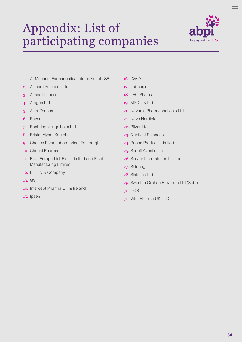# <span id="page-33-0"></span>Appendix: List of participating companies



- 1. A. Menarini Farmaceutica Internazionale SRL
- 2. Alimera Sciences Ltd
- 3. Almirall Limited
- 4. Amgen Ltd
- 5. AstraZeneca
- 6. Bayer
- 7. Boehringer Ingelheim Ltd
- 8. Bristol Myers Squibb
- 9. Charles River Laboratories, Edinburgh
- 10. Chugai Pharma
- 11. Eisai Europe Ltd; Eisai Limited and Eisai Manufacturing Limited
- 12. Eli Lilly & Company
- 13. GSK
- 14. Intercept Pharma UK & Ireland
- 15. Ipsen

#### 16. IQVIA

- 17. Labcorp
- 18. LEO Pharma
- 19. MSD UK Ltd
- 20. Novartis Pharmaceuticals Ltd.
- 21. Novo Nordisk
- 22. Pfizer Ltd
- 23. Quotient Sciences
- 24. Roche Products Limited
- 25. Sanofi Aventis Ltd
- 26. Servier Laboratories Limited
- 27. Shionogi
- 28. Sintetica Ltd
- 29. Swedish Orphan Biovitrum Ltd (Sobi)
- 30. UCB
- 31. Vifor Pharma UK LTD